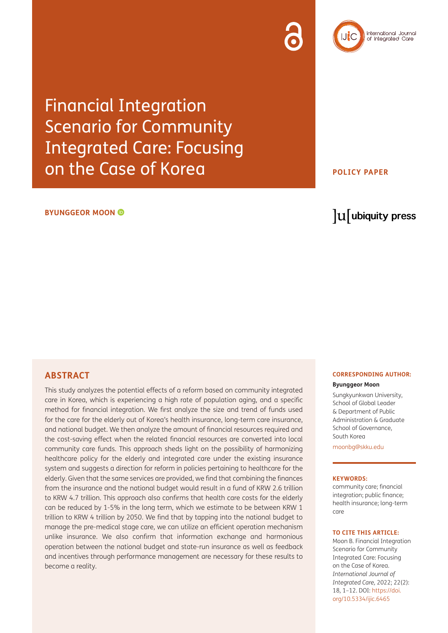# Financial Integration Scenario for Community Integrated Care: Focusing on the Case of Korea

#### **BYUNGGEOR MOON**

# **ABSTRACT**

This study analyzes the potential effects of a reform based on community integrated care in Korea, which is experiencing a high rate of population aging, and a specific method for financial integration. We first analyze the size and trend of funds used for the care for the elderly out of Korea's health insurance, long-term care insurance, and national budget. We then analyze the amount of financial resources required and the cost-saving effect when the related financial resources are converted into local community care funds. This approach sheds light on the possibility of harmonizing healthcare policy for the elderly and integrated care under the existing insurance system and suggests a direction for reform in policies pertaining to healthcare for the elderly. Given that the same services are provided, we find that combining the finances from the insurance and the national budget would result in a fund of KRW 2.6 trillion to KRW 4.7 trillion. This approach also confirms that health care costs for the elderly can be reduced by 1-5% in the long term, which we estimate to be between KRW 1 trillion to KRW 4 trillion by 2050. We find that by tapping into the national budget to manage the pre-medical stage care, we can utilize an efficient operation mechanism unlike insurance. We also confirm that information exchange and harmonious operation between the national budget and state-run insurance as well as feedback and incentives through performance management are necessary for these results to become a reality.

#### **CORRESPONDING AUTHOR:**

#### **Byunggeor Moon**

Sungkyunkwan University, School of Global Leader & Department of Public Administration & Graduate School of Governance, South Korea

[moonbg@skku.edu](mailto:moonbg@skku.edu)

#### **KEYWORDS:**

community care; financial integration; public finance; health insurance; long-term care

#### **TO CITE THIS ARTICLE:**

Moon B. Financial Integration Scenario for Community Integrated Care: Focusing on the Case of Korea. *International Journal of Integrated Care,* 2022; 22(2): 18, 1–12. DOI: [https://doi.](https://doi.org/10.5334/ijic.6465) [org/10.5334/ijic.6465](https://doi.org/10.5334/ijic.6465)

lu ubiquity press

## **POLICY PAPER**

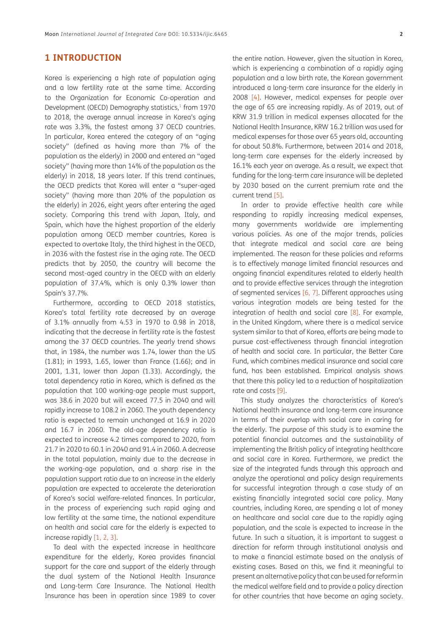# **1 INTRODUCTION**

Korea is experiencing a high rate of population aging and a low fertility rate at the same time. According to the Organization for Economic Co-operation and Development (OECD) Demography statistics,<sup>1</sup> from 1970 to 2018, the average annual increase in Korea's aging rate was 3.3%, the fastest among 37 OECD countries. In particular, Korea entered the category of an "aging society" (defined as having more than 7% of the population as the elderly) in 2000 and entered an "aged society" (having more than 14% of the population as the elderly) in 2018, 18 years later. If this trend continues, the OECD predicts that Korea will enter a "super-aged society" (having more than 20% of the population as the elderly) in 2026, eight years after entering the aged society. Comparing this trend with Japan, Italy, and Spain, which have the highest proportion of the elderly population among OECD member countries, Korea is expected to overtake Italy, the third highest in the OECD, in 2036 with the fastest rise in the aging rate. The OECD predicts that by 2050, the country will become the second most-aged country in the OECD with an elderly population of 37.4%, which is only 0.3% lower than Spain's 37.7%.

Furthermore, according to OECD 2018 statistics, Korea's total fertility rate decreased by an average of 3.1% annually from 4.53 in 1970 to 0.98 in 2018, indicating that the decrease in fertility rate is the fastest among the 37 OECD countries. The yearly trend shows that, in 1984, the number was 1.74, lower than the US (1.81); in 1993, 1.65, lower than France (1.66); and in 2001, 1.31, lower than Japan (1.33). Accordingly, the total dependency ratio in Korea, which is defined as the population that 100 working-age people must support, was 38.6 in 2020 but will exceed 77.5 in 2040 and will rapidly increase to 108.2 in 2060. The youth dependency ratio is expected to remain unchanged at 16.9 in 2020 and 16.7 in 2060. The old-age dependency ratio is expected to increase 4.2 times compared to 2020, from 21.7 in 2020 to 60.1 in 2040 and 91.4 in 2060. A decrease in the total population, mainly due to the decrease in the working-age population, and a sharp rise in the population support ratio due to an increase in the elderly population are expected to accelerate the deterioration of Korea's social welfare-related finances. In particular, in the process of experiencing such rapid aging and low fertility at the same time, the national expenditure on health and social care for the elderly is expected to increase rapidly [\[1,](#page-10-0) [2](#page-10-1), [3\]](#page-10-2).

To deal with the expected increase in healthcare expenditure for the elderly, Korea provides financial support for the care and support of the elderly through the dual system of the National Health Insurance and Long-term Care Insurance. The National Health Insurance has been in operation since 1989 to cover

the entire nation. However, given the situation in Korea, which is experiencing a combination of a rapidly aging population and a low birth rate, the Korean government introduced a long-term care insurance for the elderly in 2008 [[4](#page-10-3)]. However, medical expenses for people over the age of 65 are increasing rapidly. As of 2019, out of KRW 31.9 trillion in medical expenses allocated for the National Health Insurance, KRW 16.2 trillion was used for medical expenses for those over 65 years old, accounting for about 50.8%. Furthermore, between 2014 and 2018, long-term care expenses for the elderly increased by 16.1% each year on average. As a result, we expect that funding for the long-term care insurance will be depleted by 2030 based on the current premium rate and the current trend [[5](#page-10-4)].

In order to provide effective health care while responding to rapidly increasing medical expenses, many governments worldwide are implementing various policies. As one of the major trends, policies that integrate medical and social care are being implemented. The reason for these policies and reforms is to effectively manage limited financial resources and ongoing financial expenditures related to elderly health and to provide effective services through the integration of segmented services [[6](#page-10-5), [7\]](#page-10-6). Different approaches using various integration models are being tested for the integration of health and social care  $[8]$  $[8]$ . For example, in the United Kingdom, where there is a medical service system similar to that of Korea, efforts are being made to pursue cost-effectiveness through financial integration of health and social care. In particular, the Better Care Fund, which combines medical insurance and social care fund, has been established. Empirical analysis shows that there this policy led to a reduction of hospitalization rate and costs [\[9](#page-10-8)].

This study analyzes the characteristics of Korea's National health insurance and long-term care insurance in terms of their overlap with social care in caring for the elderly. The purpose of this study is to examine the potential financial outcomes and the sustainability of implementing the British policy of integrating healthcare and social care in Korea. Furthermore, we predict the size of the integrated funds through this approach and analyze the operational and policy design requirements for successful integration through a case study of an existing financially integrated social care policy. Many countries, including Korea, are spending a lot of money on healthcare and social care due to the rapidly aging population, and the scale is expected to increase in the future. In such a situation, it is important to suggest a direction for reform through institutional analysis and to make a financial estimate based on the analysis of existing cases. Based on this, we find it meaningful to present an alternative policy that can be used for reform in the medical welfare field and to provide a policy direction for other countries that have become an aging society.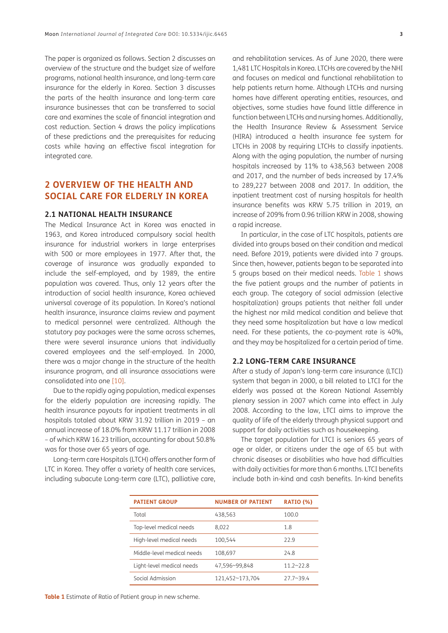The paper is organized as follows. Section 2 discusses an overview of the structure and the budget size of welfare programs, national health insurance, and long-term care insurance for the elderly in Korea. Section 3 discusses the parts of the health insurance and long-term care insurance businesses that can be transferred to social care and examines the scale of financial integration and cost reduction. Section 4 draws the policy implications of these predictions and the prerequisites for reducing costs while having an effective fiscal integration for integrated care.

# **2 OVERVIEW OF THE HEALTH AND SOCIAL CARE FOR ELDERLY IN KOREA**

#### **2.1 NATIONAL HEALTH INSURANCE**

The Medical Insurance Act in Korea was enacted in 1963, and Korea introduced compulsory social health insurance for industrial workers in large enterprises with 500 or more employees in 1977. After that, the coverage of insurance was gradually expanded to include the self-employed, and by 1989, the entire population was covered. Thus, only 12 years after the introduction of social health insurance, Korea achieved universal coverage of its population. In Korea's national health insurance, insurance claims review and payment to medical personnel were centralized. Although the statutory pay packages were the same across schemes, there were several insurance unions that individually covered employees and the self-employed. In 2000, there was a major change in the structure of the health insurance program, and all insurance associations were consolidated into one [[10\]](#page-10-9).

Due to the rapidly aging population, medical expenses for the elderly population are increasing rapidly. The health insurance payouts for inpatient treatments in all hospitals totaled about KRW 31.92 trillion in 2019 – an annual increase of 18.0% from KRW 11.17 trillion in 2008 – of which KRW 16.23 trillion, accounting for about 50.8% was for those over 65 years of age.

Long-term care Hospitals (LTCH) offers another form of LTC in Korea. They offer a variety of health care services, including subacute Long-term care (LTC), palliative care,

and rehabilitation services. As of June 2020, there were 1,481 LTC Hospitals in Korea. LTCHs are covered by the NHI and focuses on medical and functional rehabilitation to help patients return home. Although LTCHs and nursing homes have different operating entities, resources, and objectives, some studies have found little difference in function between LTCHs and nursing homes. Additionally, the Health Insurance Review & Assessment Service (HIRA) introduced a health insurance fee system for LTCHs in 2008 by requiring LTCHs to classify inpatients. Along with the aging population, the number of nursing hospitals increased by 11% to 438,563 between 2008 and 2017, and the number of beds increased by 17.4% to 289,227 between 2008 and 2017. In addition, the inpatient treatment cost of nursing hospitals for health insurance benefits was KRW 5.75 trillion in 2019, an increase of 209% from 0.96 trillion KRW in 2008, showing a rapid increase.

In particular, in the case of LTC hospitals, patients are divided into groups based on their condition and medical need. Before 2019, patients were divided into 7 groups. Since then, however, patients began to be separated into 5 groups based on their medical needs. [Table 1](#page-2-0) shows the five patient groups and the number of patients in each group. The category of social admission (elective hospitalization) groups patients that neither fall under the highest nor mild medical condition and believe that they need some hospitalization but have a low medical need. For these patients, the co-payment rate is 40%, and they may be hospitalized for a certain period of time.

#### **2.2 LONG-TERM CARE INSURANCE**

After a study of Japan's long-term care insurance (LTCI) system that began in 2000, a bill related to LTCI for the elderly was passed at the Korean National Assembly plenary session in 2007 which came into effect in July 2008. According to the law, LTCI aims to improve the quality of life of the elderly through physical support and support for daily activities such as housekeeping.

The target population for LTCI is seniors 65 years of age or older, or citizens under the age of 65 but with chronic diseases or disabilities who have had difficulties with daily activities for more than 6 months. LTCI benefits include both in-kind and cash benefits. In-kind benefits

<span id="page-2-0"></span>

| <b>PATIENT GROUP</b>       | <b>NUMBER OF PATIENT</b> | <b>RATIO (%)</b> |
|----------------------------|--------------------------|------------------|
| Total                      | 438,563                  | 100.0            |
| Top-level medical needs    | 8,022                    | 1.8              |
| High-level medical needs   | 100.544                  | 77.9             |
| Middle-level medical needs | 108.697                  | 74.8             |
| Light-level medical needs  | 47,596~99,848            | $11.2 - 22.8$    |
| Social Admission           | 121,452~173,704          | $27.7 - 39.4$    |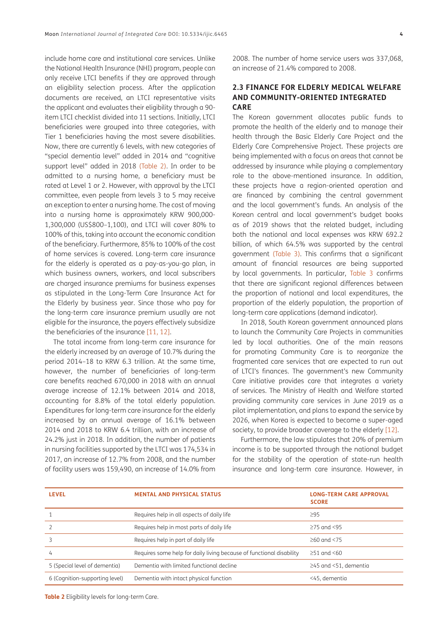include home care and institutional care services. Unlike the National Health Insurance (NHI) program, people can only receive LTCI benefits if they are approved through an eligibility selection process. After the application documents are received, an LTCI representative visits the applicant and evaluates their eligibility through a 90 item LTCI checklist divided into 11 sections. Initially, LTCI beneficiaries were grouped into three categories, with Tier 1 beneficiaries having the most severe disabilities. Now, there are currently 6 levels, with new categories of "special dementia level" added in 2014 and "cognitive support level" added in 2018 ([Table 2](#page-3-0)). In order to be admitted to a nursing home, a beneficiary must be rated at Level 1 or 2. However, with approval by the LTCI committee, even people from levels 3 to 5 may receive an exception to enter a nursing home. The cost of moving into a nursing home is approximately KRW 900,000- 1,300,000 (US\$800–1,100), and LTCI will cover 80% to 100% of this, taking into account the economic condition of the beneficiary. Furthermore, 85% to 100% of the cost of home services is covered. Long-term care insurance for the elderly is operated as a pay-as-you-go plan, in which business owners, workers, and local subscribers are charged insurance premiums for business expenses as stipulated in the Long-Term Care Insurance Act for the Elderly by business year. Since those who pay for the long-term care insurance premium usually are not eligible for the insurance, the payers effectively subsidize the beneficiaries of the insurance [[11](#page-10-10), [12\]](#page-10-11).

The total income from long-term care insurance for the elderly increased by an average of 10.7% during the period 2014–18 to KRW 6.3 trillion. At the same time, however, the number of beneficiaries of long-term care benefits reached 670,000 in 2018 with an annual average increase of 12.1% between 2014 and 2018, accounting for 8.8% of the total elderly population. Expenditures for long-term care insurance for the elderly increased by an annual average of 16.1% between 2014 and 2018 to KRW 6.4 trillion, with an increase of 24.2% just in 2018. In addition, the number of patients in nursing facilities supported by the LTCI was 174,534 in 2017, an increase of 12.7% from 2008, and the number of facility users was 159,490, an increase of 14.0% from 2008. The number of home service users was 337,068, an increase of 21.4% compared to 2008.

### **2.3 FINANCE FOR ELDERLY MEDICAL WELFARE AND COMMUNITY-ORIENTED INTEGRATED CARE**

The Korean government allocates public funds to promote the health of the elderly and to manage their health through the Basic Elderly Care Project and the Elderly Care Comprehensive Project. These projects are being implemented with a focus on areas that cannot be addressed by insurance while playing a complementary role to the above-mentioned insurance. In addition, these projects have a region-oriented operation and are financed by combining the central government and the local government's funds. An analysis of the Korean central and local government's budget books as of 2019 shows that the related budget, including both the national and local expenses was KRW 692.2 billion, of which 64.5% was supported by the central government [\(Table 3\)](#page-4-0). This confirms that a significant amount of financial resources are being supported by local governments. In particular, [Table 3](#page-4-0) confirms that there are significant regional differences between the proportion of national and local expenditures, the proportion of the elderly population, the proportion of long-term care applications (demand indicator).

In 2018, South Korean government announced plans to launch the Community Care Projects in communities led by local authorities. One of the main reasons for promoting Community Care is to reorganize the fragmented care services that are expected to run out of LTCI's finances. The government's new Community Care initiative provides care that integrates a variety of services. The Ministry of Health and Welfare started providing community care services in June 2019 as a pilot implementation, and plans to expand the service by 2026, when Korea is expected to become a super-aged society, to provide broader coverage to the elderly [[12](#page-10-11)].

Furthermore, the law stipulates that 20% of premium income is to be supported through the national budget for the stability of the operation of state-run health insurance and long-term care insurance. However, in

| <b>LEVEL</b>                   | <b>MENTAL AND PHYSICAL STATUS</b>                                    | <b>LONG-TERM CARE APPROVAL</b><br><b>SCORE</b> |
|--------------------------------|----------------------------------------------------------------------|------------------------------------------------|
|                                | Requires help in all aspects of daily life                           | $\geq$ 95                                      |
|                                | Requires help in most parts of daily life                            | $>75$ and $<95$                                |
|                                | Requires help in part of daily life                                  | $>60$ and $< 75$                               |
| 4                              | Requires some help for daily living because of functional disability | $>51$ and $< 60$                               |
| 5 (Special level of dementia)  | Dementia with limited functional decline                             | $\geq$ 45 and <51, dementia                    |
| 6 (Cognition-supporting level) | Dementia with intact physical function                               | <45, dementia                                  |

<span id="page-3-0"></span>**Table 2** Eligibility levels for long-term Care.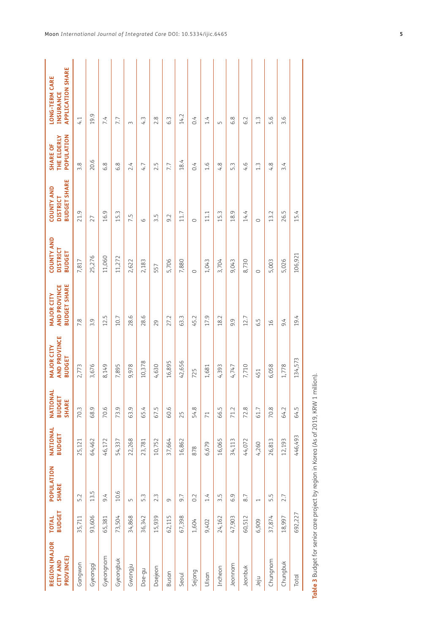| REGION (MAJOR<br><b>PROVINCE)</b><br><b>CITY AND</b> | <b>BUDGET</b><br><b>TOTAL</b> | POPULATION<br><b>SHARE</b> | NATIONAL<br><b>BUDGET</b> | NATIONAL<br><b>BUDGET</b><br><b>SHARE</b> | <b>AND PROVINCE</b><br><b>MAJOR CITY</b><br><b>BUDGET</b> | <b>BUDGET SHARE</b><br><b>AND PROVINCE</b><br><b>MAJOR CITY</b> | <b>COUNTY AND</b><br><b>DISTRICT</b><br><b>BUDGET</b> | <b>BUDGET SHARE</b><br><b>COUNTY AND</b><br><b>DISTRICT</b> | THE ELDERLY<br>POPULATION<br><b>SHARE OF</b> | <b>APPLICATION SHARE</b><br><b>LONG-TERM CARE</b><br>INSURANCE |
|------------------------------------------------------|-------------------------------|----------------------------|---------------------------|-------------------------------------------|-----------------------------------------------------------|-----------------------------------------------------------------|-------------------------------------------------------|-------------------------------------------------------------|----------------------------------------------|----------------------------------------------------------------|
| Gangwon                                              | 35,711                        | 5.2                        | 25,121                    | 70.3                                      | 2,773                                                     | 7.8                                                             | 7,817                                                 | 21.9                                                        | 3.8                                          | 4.1                                                            |
| Gyeonggi                                             | 93,606                        | 13.5                       | 64,462                    | 68.9                                      | 3,676                                                     | 3.9                                                             | 25,276                                                | 27                                                          | 20.6                                         | 19.9                                                           |
| Gyeongnam                                            | 65,381                        | 9.4                        | 46,172                    | 70.6                                      | 8,149                                                     | 12.5                                                            | 11,060                                                | 16.9                                                        | 6.8                                          | 7.4                                                            |
| Gyeongbuk                                            | 73,504                        | 10.6                       | 54,337                    | 73.9                                      | 7,895                                                     | 10.7                                                            | 11,272                                                | 15.3                                                        | 6.8                                          | 7.7                                                            |
| Gwangju                                              | 34,868                        | $\sqrt{ }$                 | 22,268                    | 63.9                                      | 9,978                                                     | 28.6                                                            | 2,622                                                 | 7.5                                                         | 2.4                                          | 3                                                              |
| Dae-gu                                               | 36,342                        | 5.3                        | 23,781                    | 65.4                                      | 10,378                                                    | 28.6                                                            | 2,183                                                 | 6                                                           | 4.7                                          | 4.3                                                            |
| Daejeon                                              | 15,939                        | 2.3                        | 10,752                    | 67.5                                      | 4,630                                                     | 29                                                              | 557                                                   | 3.5                                                         | 2.5                                          | 2.8                                                            |
| Busan                                                | 62,115                        | $\sigma$                   | 37,664                    | 60.6                                      | 16,895                                                    | 27.2                                                            | 5,706                                                 | 9.2                                                         | 7.7                                          | 6.3                                                            |
| Seoul                                                | 67,398                        | 9.7                        | 16,862                    | 25                                        | 42,656                                                    | 63.3                                                            | 7,880                                                 | 11.7                                                        | 18.4                                         | 14.2                                                           |
| Sejong                                               | 1,604                         | 0.2                        | 878                       | 54.8                                      | 725                                                       | 45.2                                                            | $\circ$                                               | $\circ$                                                     | 0.4                                          | 0.4                                                            |
| Ulsan                                                | 9,402                         | 1.4                        | 6,679                     | $\overline{71}$                           | 1,681                                                     | 17.9                                                            | 1,043                                                 | 11.1                                                        | 1.6                                          | 1.4                                                            |
| Incheon                                              | 24,162                        | 3.5                        | 16,065                    | 66.5                                      | 4,393                                                     | 18.2                                                            | 3,704                                                 | 15.3                                                        | 4.8                                          | Б                                                              |
| Jeonnam                                              | 47,903                        | 6.9                        | 34,113                    | 71.2                                      | 4,747                                                     | 9.9                                                             | 9,043                                                 | 18.9                                                        | 5.3                                          | 6.8                                                            |
| Jeonbuk                                              | 60,512                        | 8.7                        | 44,072                    | 72.8                                      | 7,710                                                     | 12.7                                                            | 8,730                                                 | 14.4                                                        | 4.6                                          | 6.2                                                            |
| ujel                                                 | 6,909                         | $\overline{\phantom{0}}$   | 4,260                     | 61.7                                      | 451                                                       | 6.5                                                             | $\circ$                                               | $\circ$                                                     | $1.\overline{3}$                             | $1.\overline{3}$                                               |
| Chungnam                                             | 37,874                        | 5.5                        | 26,813                    | 70.8                                      | 6,058                                                     | 16                                                              | 5,003                                                 | 13.2                                                        | 4.8                                          | 5.6                                                            |
| Chungbuk                                             | 18,997                        | 2.7                        | 12,193                    | 64.2                                      | 1,778                                                     | 9.4                                                             | 5,026                                                 | 26.5                                                        | 3.4                                          | 3.6                                                            |
| Total                                                | 692,227                       |                            | 446,493                   | 64.5                                      | 134,573                                                   | 19.4                                                            | 106,921                                               | 15.4                                                        |                                              |                                                                |

<span id="page-4-0"></span>Table 3 Budget for senior care project by region in Korea (As of 2019, KRW 1 million). **Table 3** Budget for senior care project by region in Korea (As of 2019, KRW 1 million).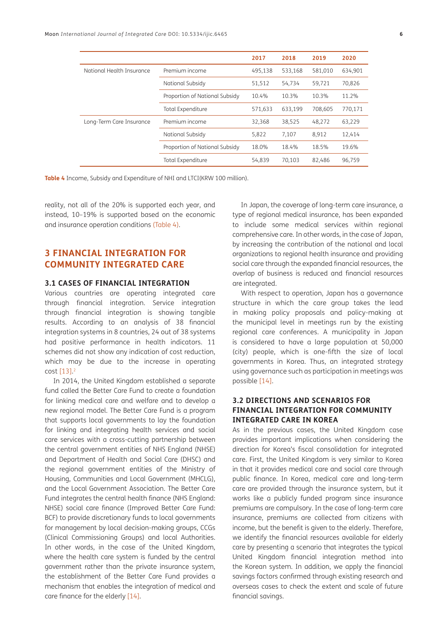|                           |                                | 2017    | 2018    | 2019    | 2020    |
|---------------------------|--------------------------------|---------|---------|---------|---------|
| National Health Insurance | Premium income                 | 495.138 | 533.168 | 581.010 | 634.901 |
|                           | National Subsidy               | 51,512  | 54,734  | 59,721  | 70,826  |
|                           | Proportion of National Subsidy | 10.4%   | 10.3%   | 10.3%   | 11.2%   |
|                           | Total Expenditure              | 571,633 | 633.199 | 708.605 | 770,171 |
| Long-Term Care Insurance  | Premium income                 | 32,368  | 38,525  | 48,272  | 63,229  |
|                           | National Subsidy               | 5,822   | 7,107   | 8.912   | 12,414  |
|                           | Proportion of National Subsidy | 18.0%   | 18.4%   | 18.5%   | 19.6%   |
|                           | Total Expenditure              | 54,839  | 70,103  | 82,486  | 96,759  |

<span id="page-5-0"></span>**Table 4** Income, Subsidy and Expenditure of NHI and LTCI(KRW 100 million).

reality, not all of the 20% is supported each year, and instead, 10–19% is supported based on the economic and insurance operation conditions [\(Table 4\)](#page-5-0).

# **3 FINANCIAL INTEGRATION FOR COMMUNITY INTEGRATED CARE**

#### **3.1 CASES OF FINANCIAL INTEGRATION**

Various countries are operating integrated care through financial integration. Service integration through financial integration is showing tangible results. According to an analysis of 38 financial integration systems in 8 countries, 24 out of 38 systems had positive performance in health indicators. 11 schemes did not show any indication of cost reduction, which may be due to the increase in operating cost [[13](#page-10-12)]. [2](#page-9-1)

In 2014, the United Kingdom established a separate fund called the Better Care Fund to create a foundation for linking medical care and welfare and to develop a new regional model. The Better Care Fund is a program that supports local governments to lay the foundation for linking and integrating health services and social care services with a cross-cutting partnership between the central government entities of NHS England (NHSE) and Department of Health and Social Care (DHSC) and the regional government entities of the Ministry of Housing, Communities and Local Government (MHCLG), and the Local Government Association. The Better Care Fund integrates the central health finance (NHS England: NHSE) social care finance (Improved Better Care Fund: BCF) to provide discretionary funds to local governments for management by local decision-making groups, CCGs (Clinical Commissioning Groups) and local Authorities. In other words, in the case of the United Kingdom, where the health care system is funded by the central government rather than the private insurance system, the establishment of the Better Care Fund provides a mechanism that enables the integration of medical and care finance for the elderly [\[14\]](#page-10-13).

In Japan, the coverage of long-term care insurance, a type of regional medical insurance, has been expanded to include some medical services within regional comprehensive care. In other words, in the case of Japan, by increasing the contribution of the national and local organizations to regional health insurance and providing social care through the expanded financial resources, the overlap of business is reduced and financial resources are integrated.

With respect to operation, Japan has a governance structure in which the care group takes the lead in making policy proposals and policy-making at the municipal level in meetings run by the existing regional care conferences. A municipality in Japan is considered to have a large population at 50,000 (city) people, which is one-fifth the size of local governments in Korea. Thus, an integrated strategy using governance such as participation in meetings was possible [[14](#page-10-13)].

# **3.2 DIRECTIONS AND SCENARIOS FOR FINANCIAL INTEGRATION FOR COMMUNITY INTEGRATED CARE IN KOREA**

As in the previous cases, the United Kingdom case provides important implications when considering the direction for Korea's fiscal consolidation for integrated care. First, the United Kingdom is very similar to Korea in that it provides medical care and social care through public finance. In Korea, medical care and long-term care are provided through the insurance system, but it works like a publicly funded program since insurance premiums are compulsory. In the case of long-term care insurance, premiums are collected from citizens with income, but the benefit is given to the elderly. Therefore, we identify the financial resources available for elderly care by presenting a scenario that integrates the typical United Kingdom financial integration method into the Korean system. In addition, we apply the financial savings factors confirmed through existing research and overseas cases to check the extent and scale of future financial savings.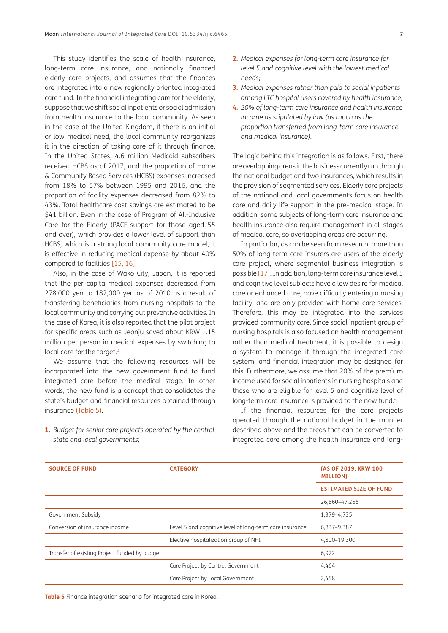This study identifies the scale of health insurance, long-term care insurance, and nationally financed elderly care projects, and assumes that the finances are integrated into a new regionally oriented integrated care fund. In the financial integrating care for the elderly, suppose that we shift social inpatients or social admission from health insurance to the local community. As seen in the case of the United Kingdom, if there is an initial or low medical need, the local community reorganizes it in the direction of taking care of it through finance. In the United States, 4.6 million Medicaid subscribers received HCBS as of 2017, and the proportion of Home & Community Based Services (HCBS) expenses increased from 18% to 57% between 1995 and 2016, and the proportion of facility expenses decreased from 82% to 43%. Total healthcare cost savings are estimated to be \$41 billion. Even in the case of Program of All-Inclusive Care for the Elderly (PACE-support for those aged 55 and over), which provides a lower level of support than HCBS, which is a strong local community care model, it is effective in reducing medical expense by about 40% compared to facilities [\[15,](#page-10-14) [16\]](#page-10-15).

Also, in the case of Wako City, Japan, it is reported that the per capita medical expenses decreased from 278,000 yen to 182,000 yen as of 2010 as a result of transferring beneficiaries from nursing hospitals to the local community and carrying out preventive activities. In the case of Korea, it is also reported that the pilot project for specific areas such as Jeonju saved about KRW 1.15 million per person in medical expenses by switching to local care for the target.<sup>[3](#page-9-2)</sup>

We assume that the following resources will be incorporated into the new government fund to fund integrated care before the medical stage. In other words, the new fund is a concept that consolidates the state's budget and financial resources obtained through insurance ([Table 5](#page-6-0)).

- **2.** *Medical expenses for long-term care insurance for level 5 and cognitive level with the lowest medical needs;*
- **3.** *Medical expenses rather than paid to social inpatients among LTC hospital users covered by health insurance;*
- **4.** *20% of long-term care insurance and health insurance income as stipulated by law (as much as the proportion transferred from long-term care insurance and medical insurance).*

The logic behind this integration is as follows. First, there are overlapping areas in the business currently run through the national budget and two insurances, which results in the provision of segmented services. Elderly care projects of the national and local governments focus on health care and daily life support in the pre-medical stage. In addition, some subjects of long-term care insurance and health insurance also require management in all stages of medical care, so overlapping areas are occurring.

In particular, as can be seen from research, more than 50% of long-term care insurers are users of the elderly care project, where segmental business integration is possible [[17](#page-10-16)]. In addition, long-term care insurance level 5 and cognitive level subjects have a low desire for medical care or enhanced care, have difficulty entering a nursing facility, and are only provided with home care services. Therefore, this may be integrated into the services provided community care. Since social inpatient group of nursing hospitals is also focused on health management rather than medical treatment, it is possible to design a system to manage it through the integrated care system, and financial integration may be designed for this. Furthermore, we assume that 20% of the premium income used for social inpatients in nursing hospitals and those who are eligible for level 5 and cognitive level of long-term care insurance is provided to the new fund.<sup>4</sup>

If the financial resources for the care projects operated through the national budget in the manner described above and the areas that can be converted to integrated care among the health insurance and long-

| <b>SOURCE OF FUND</b>                         | <b>CATEGORY</b>                                         | (AS OF 2019, KRW 100<br><b>MILLION)</b> |
|-----------------------------------------------|---------------------------------------------------------|-----------------------------------------|
|                                               |                                                         | <b>ESTIMATED SIZE OF FUND</b>           |
|                                               |                                                         | 26,860-47,266                           |
| Government Subsidy                            |                                                         | 1,379-4,735                             |
| Conversion of insurance income                | Level 5 and cognitive level of long-term care insurance | 6,837-9,387                             |
|                                               | Elective hospitalization group of NHI                   | 4,800-19,300                            |
| Transfer of existing Project funded by budget |                                                         | 6,922                                   |
|                                               | Care Project by Central Government                      | 4,464                                   |
|                                               | Care Project by Local Government                        | 2,458                                   |

**1.** *Budget for senior care projects operated by the central state and local governments;*

<span id="page-6-0"></span>**Table 5** Finance integration scenario for integrated care in Korea.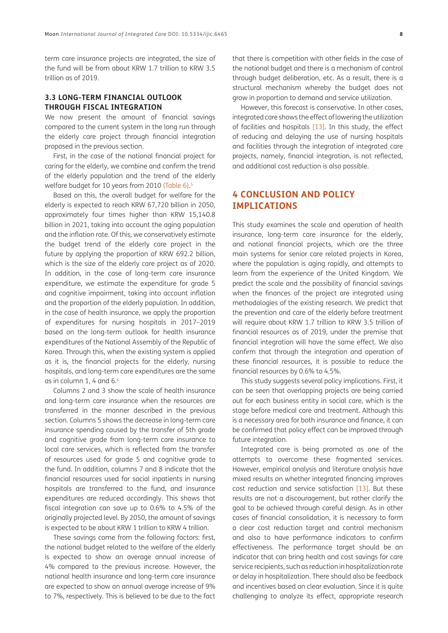term care insurance projects are integrated, the size of the fund will be from about KRW 1.7 trillion to KRW 3.5 trillion as of 2019.

### **3.3 LONG-TERM FINANCIAL OUTLOOK THROUGH FISCAL INTEGRATION**

We now present the amount of financial savings compared to the current system in the long run through the elderly care project through financial integration proposed in the previous section.

First, in the case of the national financial project for caring for the elderly, we combine and confirm the trend of the elderly population and the trend of the elderly welfare budget for 10 years from 2010 ([Table 6](#page-8-0)). [5](#page-9-4)

Based on this, the overall budget for welfare for the elderly is expected to reach KRW 67,720 billion in 2050, approximately four times higher than KRW 15,140.8 billion in 2021, taking into account the aging population and the inflation rate. Of this, we conservatively estimate the budget trend of the elderly care project in the future by applying the proportion of KRW 692.2 billion, which is the size of the elderly care project as of 2020. In addition, in the case of long-term care insurance expenditure, we estimate the expenditure for grade 5 and cognitive impairment, taking into account inflation and the proportion of the elderly population. In addition, in the case of health insurance, we apply the proportion of expenditures for nursing hospitals in 2017–2019 based on the long-term outlook for health insurance expenditures of the National Assembly of the Republic of Korea. Through this, when the existing system is applied as it is, the financial projects for the elderly, nursing hospitals, and long-term care expenditures are the same as in column 1, 4 and 6[.6](#page-9-5)

Columns 2 and 3 show the scale of health insurance and long-term care insurance when the resources are transferred in the manner described in the previous section. Columns 5 shows the decrease in long-term care insurance spending caused by the transfer of 5th grade and cognitive grade from long-term care insurance to local care services, which is reflected from the transfer of resources used for grade 5 and cognitive grade to the fund. In addition, columns 7 and 8 indicate that the financial resources used for social inpatients in nursing hospitals are transferred to the fund, and insurance expenditures are reduced accordingly. This shows that fiscal integration can save up to 0.6% to 4.5% of the originally projected level. By 2050, the amount of savings is expected to be about KRW 1 trillion to KRW 4 trillion.

These savings come from the following factors: first, the national budget related to the welfare of the elderly is expected to show an average annual increase of 4% compared to the previous increase. However, the national health insurance and long-term care insurance are expected to show an annual average increase of 9% to 7%, respectively. This is believed to be due to the fact that there is competition with other fields in the case of the national budget and there is a mechanism of control through budget deliberation, etc. As a result, there is a structural mechanism whereby the budget does not grow in proportion to demand and service utilization.

However, this forecast is conservative. In other cases, integrated care shows the effect of lowering the utilization of facilities and hospitals [\[13\]](#page-10-12). In this study, the effect of reducing and delaying the use of nursing hospitals and facilities through the integration of integrated care projects, namely, financial integration, is not reflected, and additional cost reduction is also possible.

# **4 CONCLUSION AND POLICY IMPLICATIONS**

This study examines the scale and operation of health insurance, long-term care insurance for the elderly, and national financial projects, which are the three main systems for senior care related projects in Korea, where the population is aging rapidly, and attempts to learn from the experience of the United Kingdom. We predict the scale and the possibility of financial savings when the finances of the project are integrated using methodologies of the existing research. We predict that the prevention and care of the elderly before treatment will require about KRW 1.7 trillion to KRW 3.5 trillion of financial resources as of 2019, under the premise that financial integration will have the same effect. We also confirm that through the integration and operation of these financial resources, it is possible to reduce the financial resources by 0.6% to 4.5%.

This study suggests several policy implications. First, it can be seen that overlapping projects are being carried out for each business entity in social care, which is the stage before medical care and treatment. Although this is a necessary area for both insurance and finance, it can be confirmed that policy effect can be improved through future integration.

Integrated care is being promoted as one of the attempts to overcome these fragmented services. However, empirical analysis and literature analysis have mixed results on whether integrated financing improves cost reduction and service satisfaction [[13\]](#page-10-12). But these results are not a discouragement, but rather clarify the goal to be achieved through careful design. As in other cases of financial consolidation, it is necessary to form a clear cost reduction target and control mechanism and also to have performance indicators to confirm effectiveness. The performance target should be an indicator that can bring health and cost savings for care service recipients, such as reduction in hospitalization rate or delay in hospitalization. There should also be feedback and incentives based on clear evaluation. Since it is quite challenging to analyze its effect, appropriate research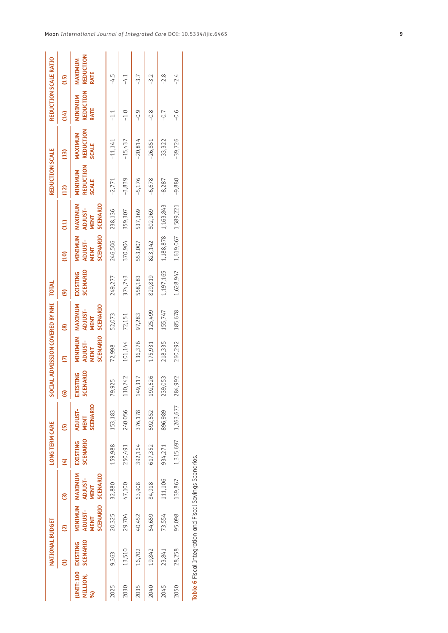|                | NATIONAL BUDGET                |                                                              |                                           | <b>LONG TERM CARE</b> |                                    |                                    | SOCIAL ADMISSION COVERED BY NHI               |                                               | TOTAL                              |                                               |                                                      | REDUCTION SCALE                      |                                             | REDUCTION SCALE RATIO        |                                     |
|----------------|--------------------------------|--------------------------------------------------------------|-------------------------------------------|-----------------------|------------------------------------|------------------------------------|-----------------------------------------------|-----------------------------------------------|------------------------------------|-----------------------------------------------|------------------------------------------------------|--------------------------------------|---------------------------------------------|------------------------------|-------------------------------------|
|                |                                | ឨ                                                            | ື                                         |                       | G                                  | ⊡                                  | S                                             | මූ                                            | ត                                  | $\overline{a}$                                | 크                                                    |                                      | ධු                                          | £                            | (15)                                |
| MILLION,<br>ଛି | SCENARIO<br>UNIT: 100 EXISTING | <b>MINIMUM MAXIMUM</b><br>SCENARIO<br>ADJUST-<br><b>MENT</b> | SCENARIO<br><b>ADJUST-</b><br><b>MENT</b> | SCENARIO<br>EXISTING  | SCENARIO<br>ADJUST-<br><b>MENT</b> | <b>SCENARIO</b><br><b>EXISTING</b> | SCENARIO<br>MINIMUM<br>ADJUST-<br><b>MENT</b> | MAXIMUM<br>SCENARIO<br><b>ADJUST-</b><br>MENT | <b>SCENARIO</b><br><b>EXISTING</b> | <b>SCENARIO</b><br>MINIMUM<br>ADJUST-<br>MENT | MAXIMUM<br><b>SCENARIO</b><br><b>ADJUST-</b><br>MENT | REDUCTION<br>MINIMUM<br><b>SCALE</b> | <b>REDUCTION</b><br>MAXIMUM<br><b>SCALE</b> | REDUCTION<br>MINIMUM<br>RATE | <b>REDUCTION</b><br>MAXIMUM<br>RATE |
| 2025           | 9,363                          | 20,325                                                       | 32,880                                    | 159,988               | 153,183                            | 79,925                             | 72,998                                        | 52,073                                        | 249,277                            | 246,506                                       | 238,136                                              | -2,771                               | $-11,141$                                   | $-1.1$                       | $-4.5$                              |
| 2030           | 13,510                         | 29,704                                                       | 47,100                                    | 250,491               | 240,056                            | 742<br>110,                        | 101,144                                       | 72,151                                        | 374,743                            | 370,904                                       | 359,307                                              | $-3,839$                             | $-15,437$                                   | $-1.0$                       | $-4.1$                              |
| 2035           | 16,702                         | 40,452                                                       | 63,908                                    | 392,164               | 376,178                            | 317<br>149,                        | 136,376                                       | 97,283                                        | 558,183                            | 553,007                                       | 537,369                                              | $-5,176$                             | $-20,814$                                   | $-0.9$                       | $-3.7$                              |
| 2040           | 19,842                         | 54,659                                                       | 84,918                                    | 617,352               | 592,552                            | 626<br>192,                        | 175,931                                       | 125,499                                       | 829,819                            | 823,142                                       | 802,969                                              | $-6,678$                             | $-26,851$                                   | $-0.8$                       | -3.2                                |
| 2045           | 23,841                         | 73,554                                                       | 111,106                                   | 934,271               | 896,989                            | 053<br>239,                        | 218,335                                       | 155,747                                       | 1,197,165                          | 1,188,878 1,163,843                           |                                                      | $-8,287$                             | $-33,322$                                   | $-0.7$                       | $-2.8$                              |
| 2050           | 28,258                         | 95,098                                                       | 139,867                                   | 1,315,697             | 1,263,677                          | 992<br>284,                        | 260,292                                       | 185,678                                       | 1,628,947                          | 1,619,067 1,589,221                           |                                                      | $-9,880$                             | $-39,726$                                   | $-0.6$                       | $-2.4$                              |
|                |                                |                                                              |                                           |                       |                                    |                                    |                                               |                                               |                                    |                                               |                                                      |                                      |                                             |                              |                                     |

<span id="page-8-0"></span>Table 6 Fiscal Integration and Fiscal Savings Scenarios. **Table 6** Fiscal Integration and Fiscal Savings Scenarios.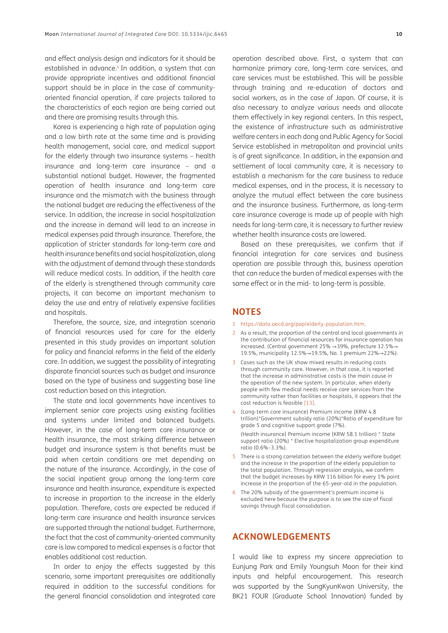and effect analysis design and indicators for it should be established in advance.<sup>4</sup> In addition, a system that can provide appropriate incentives and additional financial support should be in place in the case of communityoriented financial operation, if care projects tailored to the characteristics of each region are being carried out and there are promising results through this.

Korea is experiencing a high rate of population aging and a low birth rate at the same time and is providing health management, social care, and medical support for the elderly through two insurance systems – health insurance and long-term care insurance – and a substantial national budget. However, the fragmented operation of health insurance and long-term care insurance and the mismatch with the business through the national budget are reducing the effectiveness of the service. In addition, the increase in social hospitalization and the increase in demand will lead to an increase in medical expenses paid through insurance. Therefore, the application of stricter standards for long-term care and health insurance benefits and social hospitalization, along with the adjustment of demand through these standards will reduce medical costs. In addition, if the health care of the elderly is strengthened through community care projects, it can become an important mechanism to delay the use and entry of relatively expensive facilities and hospitals.

Therefore, the source, size, and integration scenario of financial resources used for care for the elderly presented in this study provides an important solution for policy and financial reforms in the field of the elderly care. In addition, we suggest the possibility of integrating disparate financial sources such as budget and insurance based on the type of business and suggesting base line cost reduction based on this integration.

The state and local governments have incentives to implement senior care projects using existing facilities and systems under limited and balanced budgets. However, in the case of long-term care insurance or health insurance, the most striking difference between budget and insurance system is that benefits must be paid when certain conditions are met depending on the nature of the insurance. Accordingly, in the case of the social inpatient group among the long-term care insurance and health insurance, expenditure is expected to increase in proportion to the increase in the elderly population. Therefore, costs are expected be reduced if long-term care insurance and health insurance services are supported through the national budget. Furthermore, the fact that the cost of community-oriented community care is low compared to medical expenses is a factor that enables additional cost reduction.

In order to enjoy the effects suggested by this scenario, some important prerequisites are additionally required in addition to the successful conditions for the general financial consolidation and integrated care

operation described above. First, a system that can harmonize primary care, long-term care services, and care services must be established. This will be possible through training and re-education of doctors and social workers, as in the case of Japan. Of course, it is also necessary to analyze various needs and allocate them effectively in key regional centers. In this respect, the existence of infrastructure such as administrative welfare centers in each dong and Public Agency for Social Service established in metropolitan and provincial units is of great significance. In addition, in the expansion and settlement of local community care, it is necessary to establish a mechanism for the care business to reduce medical expenses, and in the process, it is necessary to analyze the mutual effect between the care business and the insurance business. Furthermore, as long-term care insurance coverage is made up of people with high needs for long-term care, it is necessary to further review whether health insurance costs are lowered.

Based on these prerequisites, we confirm that if financial integration for care services and business operation are possible through this, business operation that can reduce the burden of medical expenses with the same effect or in the mid- to long-term is possible.

# **NOTES**

- <span id="page-9-0"></span>1 <https://data.oecd.org/pop/elderly-population.htm>.
- <span id="page-9-1"></span>2 As a result, the proportion of the central and local governments in the contribution of financial resources for insurance operation has increased. (Central government 25% →39%, prefecture 12.5%→ 19.5%, municipality 12.5%→19.5%, No. 1 premium 22%→22%).
- <span id="page-9-2"></span>3 Cases such as the UK show mixed results in reducing costs through community care. However, in that case, it is reported that the increase in administrative costs is the main cause in the operation of the new system. In particular, when elderly people with few medical needs receive care services from the community rather than facilities or hospitals, it appears that the cost reduction is feasible [[13](#page-10-12)].
- <span id="page-9-3"></span>4 (Long-term care insurance) Premium income (KRW 4.8 trillion)\*Government subsidy ratio (20%)\*Ratio of expenditure for grade 5 and cognitive support grade (7%).

(Health insurance) Premium income (KRW 58.1 trillion) \* State support ratio (20%) \* Elective hospitalization group expenditure ratio (0.6%–3.3%).

- <span id="page-9-4"></span>5 There is a strong correlation between the elderly welfare budget and the increase in the proportion of the elderly population to the total population. Through regression analysis, we confirm that the budget increases by KRW 116 billion for every 1% point increase in the proportion of the 65-year-old in the population.
- <span id="page-9-5"></span>6 The 20% subsidy of the government's premium income is excluded here because the purpose is to see the size of fiscal savings through fiscal consolidation.

# **ACKNOWLEDGEMENTS**

I would like to express my sincere appreciation to Eunjung Park and Emily Youngsuh Moon for their kind inputs and helpful encouragement. This research was supported by the SungKyunKwan University, the BK21 FOUR (Graduate School Innovation) funded by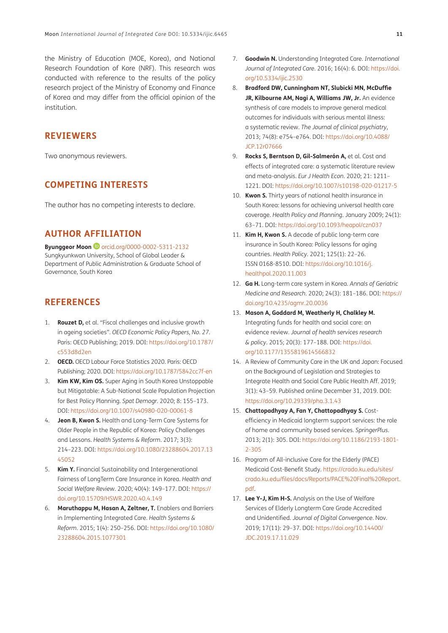the Ministry of Education (MOE, Korea), and National Research Foundation of Kore (NRF). This research was conducted with reference to the results of the policy research project of the Ministry of Economy and Finance of Korea and may differ from the official opinion of the institution.

# **REVIEWERS**

Two anonymous reviewers.

# **COMPETING INTERESTS**

The author has no competing interests to declare.

# **AUTHOR AFFILIATION**

**Byunggeor Moon iD** [orcid.org/0000-0002-5311-2132](https://orcid.org/0000-0002-5311-2132) Sungkyunkwan University, School of Global Leader & Department of Public Administration & Graduate School of Governance, South Korea

# **REFERENCES**

- <span id="page-10-0"></span>1. **Rouzet D,** et al. "Fiscal challenges and inclusive growth in ageing societies". *OECD Economic Policy Papers, No. 27*. Paris: OECD Publishing; 2019. DOI: [https://doi.org/10.1787/](https://doi.org/10.1787/c553d8d2en) [c553d8d2en](https://doi.org/10.1787/c553d8d2en)
- <span id="page-10-1"></span>2. **OECD.** OECD Labour Force Statistics 2020. Paris: OECD Publishing; 2020. DOI:<https://doi.org/10.1787/5842cc7f-en>
- <span id="page-10-2"></span>3. **Kim KW, Kim OS.** Super Aging in South Korea Unstoppable but Mitigatable: A Sub-National Scale Population Projection for Best Policy Planning. *Spat Demogr*. 2020; 8: 155–173. DOI:<https://doi.org/10.1007/s40980-020-00061-8>
- <span id="page-10-3"></span>4. **Jeon B, Kwon S.** Health and Long-Term Care Systems for Older People in the Republic of Korea: Policy Challenges and Lessons. *Health Systems & Reform*. 2017; 3(3): 214–223. DOI: [https://doi.org/10.1080/23288604.2017.13](https://doi.org/10.1080/23288604.2017.1345052) [45052](https://doi.org/10.1080/23288604.2017.1345052)
- <span id="page-10-4"></span>5. **Kim Y.** Financial Sustainability and Intergenerational Fairness of LongTerm Care Insurance in Korea. *Health and Social Welfare Review*. 2020; 40(4): 149–177. DOI: [https://](https://doi.org/10.15709/HSWR.2020.40.4.149) [doi.org/10.15709/HSWR.2020.40.4.149](https://doi.org/10.15709/HSWR.2020.40.4.149)
- <span id="page-10-5"></span>6. **Maruthappu M, Hasan A, Zeltner, T.** Enablers and Barriers in Implementing Integrated Care. *Health Systems & Reform*. 2015; 1(4): 250–256. DOI: [https://doi.org/10.1080/](https://doi.org/10.1080/23288604.2015.1077301) [23288604.2015.1077301](https://doi.org/10.1080/23288604.2015.1077301)
- <span id="page-10-6"></span>7. **Goodwin N.** Understanding Integrated Care. *International Journal of Integrated Care*. 2016; 16(4): 6. DOI: [https://doi.](https://doi.org/10.5334/ijic.2530) [org/10.5334/ijic.2530](https://doi.org/10.5334/ijic.2530)
- <span id="page-10-7"></span>8. **Bradford DW, Cunningham NT, Slubicki MN, McDuffie JR, Kilbourne AM, Nagi A, Williams JW, Jr.** An evidence synthesis of care models to improve general medical outcomes for individuals with serious mental illness: a systematic review. *The Journal of clinical psychiatry*, 2013; 74(8): e754–e764. DOI: [https://doi.org/10.4088/](https://doi.org/10.4088/JCP.12r07666) [JCP.12r07666](https://doi.org/10.4088/JCP.12r07666)
- <span id="page-10-8"></span>9. **Rocks S, Berntson D, Gil-Salmerón A,** et al. Cost and effects of integrated care: a systematic literature review and meta-analysis. *Eur J Health Econ*. 2020; 21: 1211– 1221. DOI: <https://doi.org/10.1007/s10198-020-01217-5>
- <span id="page-10-9"></span>10. **Kwon S.** Thirty years of national health insurance in South Korea: lessons for achieving universal health care coverage. *Health Policy and Planning*. January 2009; 24(1): 63–71. DOI: <https://doi.org/10.1093/heapol/czn037>
- <span id="page-10-10"></span>11. **Kim H, Kwon S.** A decade of public long-term care insurance in South Korea: Policy lessons for aging countries. *Health Policy*. 2021; 125(1): 22–26. ISSN 0168-8510. DOI: [https://doi.org/10.1016/j.](https://doi.org/10.1016/j.healthpol.2020.11.003) [healthpol.2020.11.003](https://doi.org/10.1016/j.healthpol.2020.11.003)
- <span id="page-10-11"></span>12. **Ga H.** Long-term care system in Korea. *Annals of Geriatric Medicine and Research*. 2020; 24(3): 181–186. DOI: [https://](https://doi.org/10.4235/agmr.20.0036) [doi.org/10.4235/agmr.20.0036](https://doi.org/10.4235/agmr.20.0036)
- <span id="page-10-12"></span>13. **Mason A, Goddard M, Weatherly H, Chalkley M.** Integrating funds for health and social care: an evidence review. *Journal of health services research & policy*. 2015; 20(3): 177–188. DOI: [https://doi.](https://doi.org/10.1177/1355819614566832) [org/10.1177/1355819614566832](https://doi.org/10.1177/1355819614566832)
- <span id="page-10-13"></span>14. A Review of Community Care in the UK and Japan: Focused on the Background of Legislation and Strategies to Integrate Health and Social Care Public Health Aff. 2019; 3(1): 43–59. Published online December 31, 2019. DOI: <https://doi.org/10.29339/pha.3.1.43>
- <span id="page-10-14"></span>15. **Chattopadhyay A, Fan Y, Chattopadhyay S.** Costefficiency in Medicaid longterm support services: the role of home and community based services. *SpringerPlus*. 2013; 2(1): 305. DOI: [https://doi.org/10.1186/2193-1801-](https://doi.org/10.1186/2193-1801-2-305) [2-305](https://doi.org/10.1186/2193-1801-2-305)
- <span id="page-10-15"></span>16. Program of All-inclusive Care for the Elderly (PACE) Medicaid Cost-Benefit Study. [https://crado.ku.edu/sites/](https://crado.ku.edu/sites/crado.ku.edu/files/docs/Reports/PACE%20Final%20Report.pdf) [crado.ku.edu/files/docs/Reports/PACE%20Final%20Report.](https://crado.ku.edu/sites/crado.ku.edu/files/docs/Reports/PACE%20Final%20Report.pdf) [pdf.](https://crado.ku.edu/sites/crado.ku.edu/files/docs/Reports/PACE%20Final%20Report.pdf)
- <span id="page-10-16"></span>17. **Lee Y-J, Kim H-S.** Analysis on the Use of Welfare Services of Elderly Longterm Care Grade Accredited and Unidentified. *Journal of Digital Convergence*. Nov. 2019; 17(11): 29–37. DOI: [https://doi.org/10.14400/](https://doi.org/10.14400/JDC.2019.17.11.029) [JDC.2019.17.11.029](https://doi.org/10.14400/JDC.2019.17.11.029)